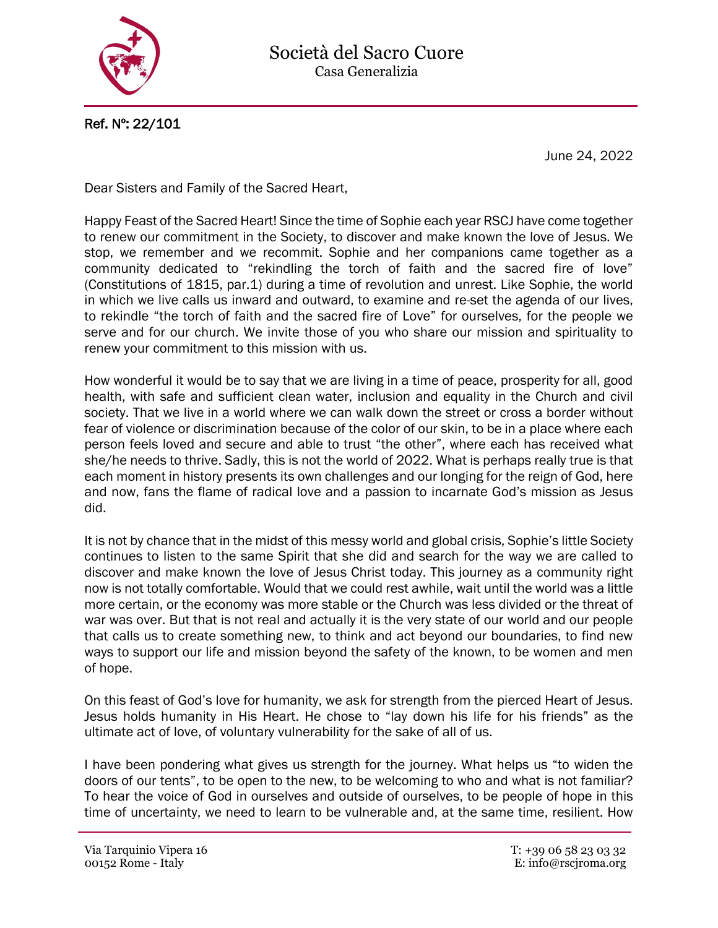

Ref. Nº: 22/101

June 24, 2022

Dear Sisters and Family of the Sacred Heart,

Happy Feast of the Sacred Heart! Since the time of Sophie each year RSCJ have come together to renew our commitment in the Society, to discover and make known the love of Jesus. We stop, we remember and we recommit. Sophie and her companions came together as a community dedicated to "rekindling the torch of faith and the sacred fire of love" (Constitutions of 1815, par.1) during a time of revolution and unrest. Like Sophie, the world in which we live calls us inward and outward, to examine and re-set the agenda of our lives, to rekindle "the torch of faith and the sacred fire of Love" for ourselves, for the people we serve and for our church. We invite those of you who share our mission and spirituality to renew your commitment to this mission with us.

How wonderful it would be to say that we are living in a time of peace, prosperity for all, good health, with safe and sufficient clean water, inclusion and equality in the Church and civil society. That we live in a world where we can walk down the street or cross a border without fear of violence or discrimination because of the color of our skin, to be in a place where each person feels loved and secure and able to trust "the other", where each has received what she/he needs to thrive. Sadly, this is not the world of 2022. What is perhaps really true is that each moment in history presents its own challenges and our longing for the reign of God, here and now, fans the flame of radical love and a passion to incarnate God's mission as Jesus did.

It is not by chance that in the midst of this messy world and global crisis, Sophie's little Society continues to listen to the same Spirit that she did and search for the way we are called to discover and make known the love of Jesus Christ today. This journey as a community right now is not totally comfortable. Would that we could rest awhile, wait until the world was a little more certain, or the economy was more stable or the Church was less divided or the threat of war was over. But that is not real and actually it is the very state of our world and our people that calls us to create something new, to think and act beyond our boundaries, to find new ways to support our life and mission beyond the safety of the known, to be women and men of hope.

On this feast of God's love for humanity, we ask for strength from the pierced Heart of Jesus. Jesus holds humanity in His Heart. He chose to "lay down his life for his friends" as the ultimate act of love, of voluntary vulnerability for the sake of all of us.

I have been pondering what gives us strength for the journey. What helps us "to widen the doors of our tents", to be open to the new, to be welcoming to who and what is not familiar? To hear the voice of God in ourselves and outside of ourselves, to be people of hope in this time of uncertainty, we need to learn to be vulnerable and, at the same time, resilient. How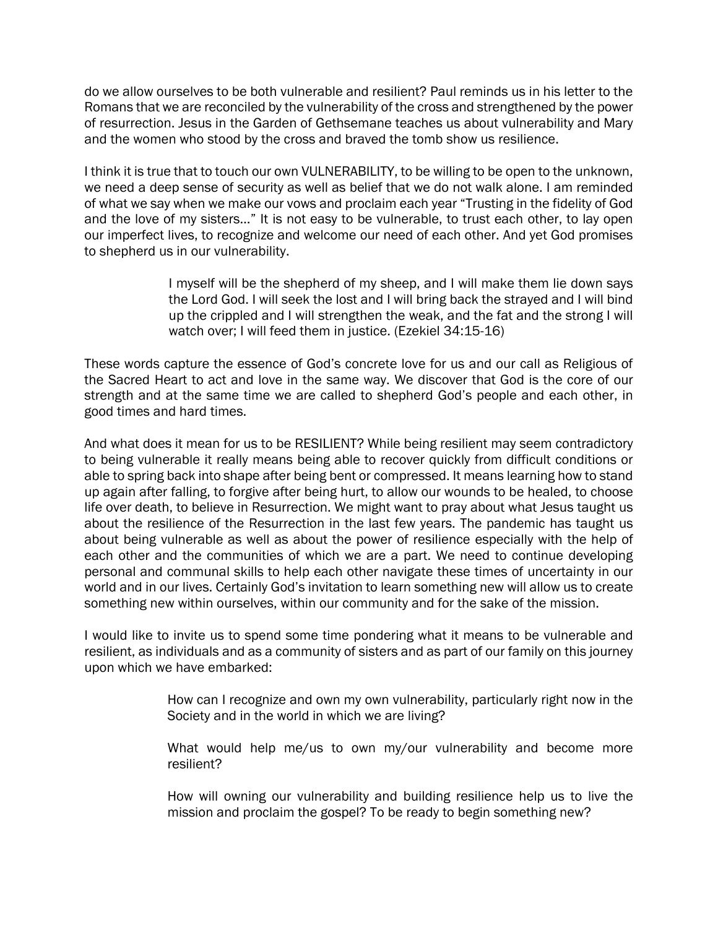do we allow ourselves to be both vulnerable and resilient? Paul reminds us in his letter to the Romans that we are reconciled by the vulnerability of the cross and strengthened by the power of resurrection. Jesus in the Garden of Gethsemane teaches us about vulnerability and Mary and the women who stood by the cross and braved the tomb show us resilience.

I think it is true that to touch our own VULNERABILITY, to be willing to be open to the unknown, we need a deep sense of security as well as belief that we do not walk alone. I am reminded of what we say when we make our vows and proclaim each year "Trusting in the fidelity of God and the love of my sisters…" It is not easy to be vulnerable, to trust each other, to lay open our imperfect lives, to recognize and welcome our need of each other. And yet God promises to shepherd us in our vulnerability.

> I myself will be the shepherd of my sheep, and I will make them lie down says the Lord God. I will seek the lost and I will bring back the strayed and I will bind up the crippled and I will strengthen the weak, and the fat and the strong I will watch over; I will feed them in justice. (Ezekiel 34:15-16)

These words capture the essence of God's concrete love for us and our call as Religious of the Sacred Heart to act and love in the same way. We discover that God is the core of our strength and at the same time we are called to shepherd God's people and each other, in good times and hard times.

And what does it mean for us to be RESILIENT? While being resilient may seem contradictory to being vulnerable it really means being able to recover quickly from difficult conditions or able to spring back into shape after being bent or compressed. It means learning how to stand up again after falling, to forgive after being hurt, to allow our wounds to be healed, to choose life over death, to believe in Resurrection. We might want to pray about what Jesus taught us about the resilience of the Resurrection in the last few years. The pandemic has taught us about being vulnerable as well as about the power of resilience especially with the help of each other and the communities of which we are a part. We need to continue developing personal and communal skills to help each other navigate these times of uncertainty in our world and in our lives. Certainly God's invitation to learn something new will allow us to create something new within ourselves, within our community and for the sake of the mission.

I would like to invite us to spend some time pondering what it means to be vulnerable and resilient, as individuals and as a community of sisters and as part of our family on this journey upon which we have embarked:

> How can I recognize and own my own vulnerability, particularly right now in the Society and in the world in which we are living?

> What would help me/us to own my/our vulnerability and become more resilient?

> How will owning our vulnerability and building resilience help us to live the mission and proclaim the gospel? To be ready to begin something new?